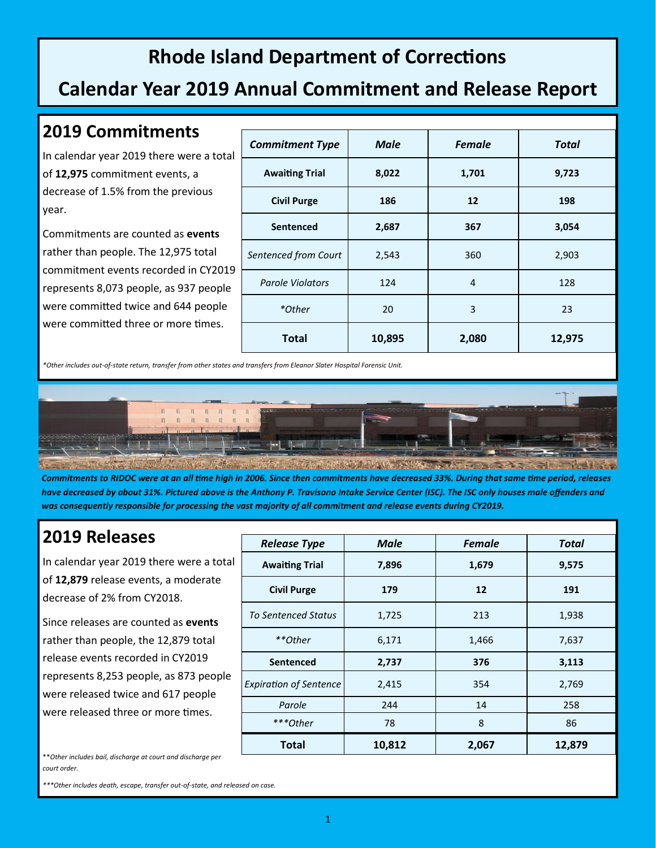# **Rhode Island Department of Corrections**

## **Calendar Year 2019 Annual Commitment and Release Report**

#### **2019 Commitments**

In calendar year 2019 there were a total of **12,975** commitment events, a decrease of 1.5% from the previous year.

Commitments are counted as **events** rather than people. The 12,975 total commitment events recorded in CY2019 represents 8,073 people, as 937 people were committed twice and 644 people were committed three or more times.

| <b>Commitment Type</b>  | <b>Male</b> | <b>Female</b> | <b>Total</b> |
|-------------------------|-------------|---------------|--------------|
| <b>Awaiting Trial</b>   | 8,022       | 1,701         | 9,723        |
| <b>Civil Purge</b>      | 186         | 12            | 198          |
| <b>Sentenced</b>        | 2,687       | 367           | 3,054        |
| Sentenced from Court    | 2,543       | 360           | 2,903        |
| <b>Parole Violators</b> | 124         | 4             | 128          |
| *Other                  | 20          | 3             | 23           |
| <b>Total</b>            | 10,895      | 2,080         | 12,975       |

*\*Other includes out-of-state return, transfer from other states and transfers from Eleanor Slater Hospital Forensic Unit.*



*Commitments to RIDOC were at an all time high in 2006. Since then commitments have decreased 33%. During that same time period, releases have decreased by about 31%. Pictured above is the Anthony P. Travisono Intake Service Center (ISC). The ISC only houses male offenders and*  was consequently responsible for processing the vast majority of all commitment and release events during CY2019.

## **2019 Releases**

In calendar year 2019 there were a total of **12,879** release events, a moderate decrease of 2% from CY2018.

Since releases are counted as **events** rather than people, the 12,879 total release events recorded in CY2019 represents 8,253 people, as 873 people were released twice and 617 people were released three or more times.

| <b>Release Type</b>           | <b>Male</b> | <b>Female</b> | <b>Total</b> |
|-------------------------------|-------------|---------------|--------------|
| <b>Awaiting Trial</b>         | 7,896       | 1,679         | 9,575        |
| <b>Civil Purge</b>            | 179         | 12            | 191          |
| <b>To Sentenced Status</b>    | 1,725       | 213           | 1,938        |
| **Other                       | 6,171       | 1,466         | 7,637        |
| <b>Sentenced</b>              | 2,737       | 376           | 3,113        |
| <b>Expiration of Sentence</b> | 2,415       | 354           | 2,769        |
| Parole                        | 244         | 14            | 258          |
| ***Other                      | 78          | 8             | 86           |
| <b>Total</b>                  | 10,812      | 2,067         | 12,879       |

\*\**Other includes bail, discharge at court and discharge per court order.*

*\*\*\*Other includes death, escape, transfer out-of-state, and released on case.*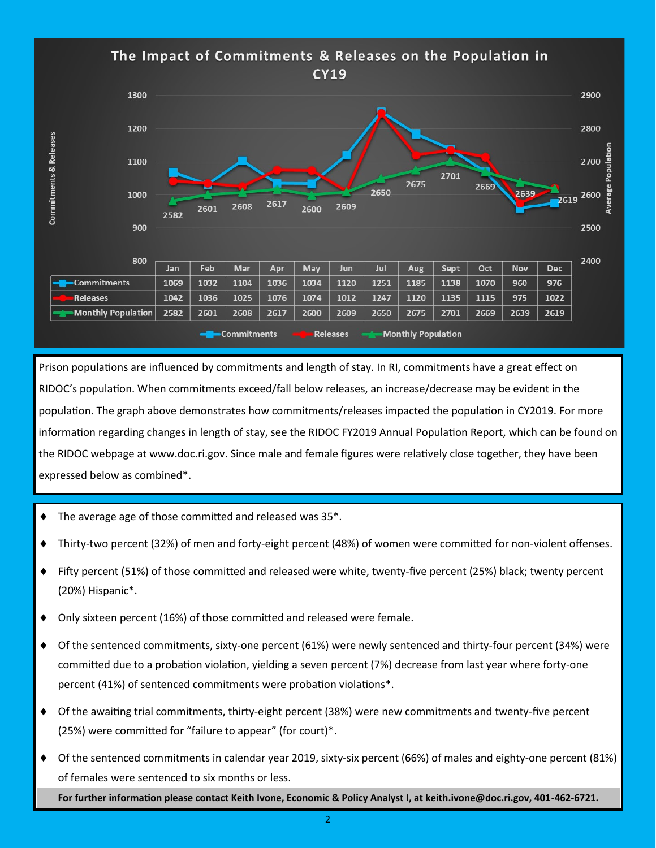

Prison populations are influenced by commitments and length of stay. In RI, commitments have a great effect on RIDOC's population. When commitments exceed/fall below releases, an increase/decrease may be evident in the population. The graph above demonstrates how commitments/releases impacted the population in CY2019. For more information regarding changes in length of stay, see the RIDOC FY2019 Annual Population Report, which can be found on the RIDOC webpage at www.doc.ri.gov. Since male and female figures were relatively close together, they have been expressed below as combined\*.

- The average age of those committed and released was 35\*.
- Thirty-two percent (32%) of men and forty-eight percent (48%) of women were committed for non-violent offenses.
- Fifty percent (51%) of those committed and released were white, twenty-five percent (25%) black; twenty percent (20%) Hispanic\*.
- Only sixteen percent (16%) of those committed and released were female.
- Of the sentenced commitments, sixty-one percent (61%) were newly sentenced and thirty-four percent (34%) were committed due to a probation violation, yielding a seven percent (7%) decrease from last year where forty-one percent (41%) of sentenced commitments were probation violations\*.
- Of the awaiting trial commitments, thirty-eight percent (38%) were new commitments and twenty-five percent (25%) were committed for "failure to appear" (for court)\*.
- Of the sentenced commitments in calendar year 2019, sixty-six percent (66%) of males and eighty-one percent (81%) of females were sentenced to six months or less.

**For further information please contact Keith Ivone, Economic & Policy Analyst I, at keith.ivone@doc.ri.gov, 401-462-6721.**